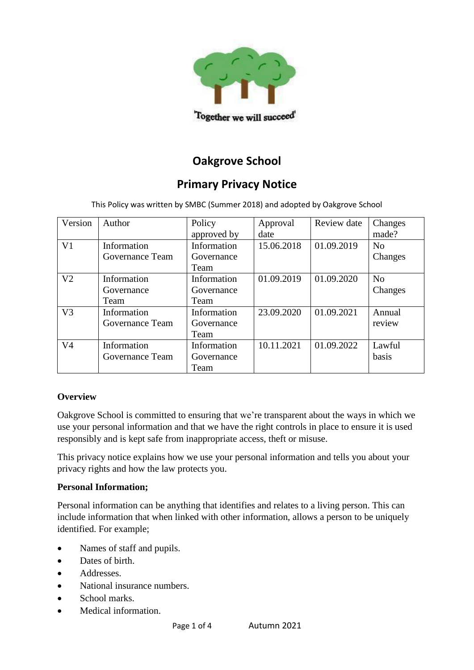

# **Oakgrove School**

# **Primary Privacy Notice**

This Policy was written by SMBC (Summer 2018) and adopted by Oakgrove School

| Version        | Author                            | Policy<br>approved by             | Approval<br>date | Review date | Changes<br>made? |
|----------------|-----------------------------------|-----------------------------------|------------------|-------------|------------------|
| V <sub>1</sub> | Information<br>Governance Team    | Information<br>Governance<br>Team | 15.06.2018       | 01.09.2019  | No<br>Changes    |
| V <sub>2</sub> | Information<br>Governance<br>Team | Information<br>Governance<br>Team | 01.09.2019       | 01.09.2020  | No<br>Changes    |
| V <sub>3</sub> | Information<br>Governance Team    | Information<br>Governance<br>Team | 23.09.2020       | 01.09.2021  | Annual<br>review |
| V <sub>4</sub> | Information<br>Governance Team    | Information<br>Governance<br>Team | 10.11.2021       | 01.09.2022  | Lawful<br>basis  |

# **Overview**

Oakgrove School is committed to ensuring that we're transparent about the ways in which we use your personal information and that we have the right controls in place to ensure it is used responsibly and is kept safe from inappropriate access, theft or misuse.

This privacy notice explains how we use your personal information and tells you about your privacy rights and how the law protects you.

### **Personal Information;**

Personal information can be anything that identifies and relates to a living person. This can include information that when linked with other information, allows a person to be uniquely identified. For example;

- Names of staff and pupils.
- Dates of birth.
- Addresses.
- National insurance numbers.
- School marks.
- Medical information.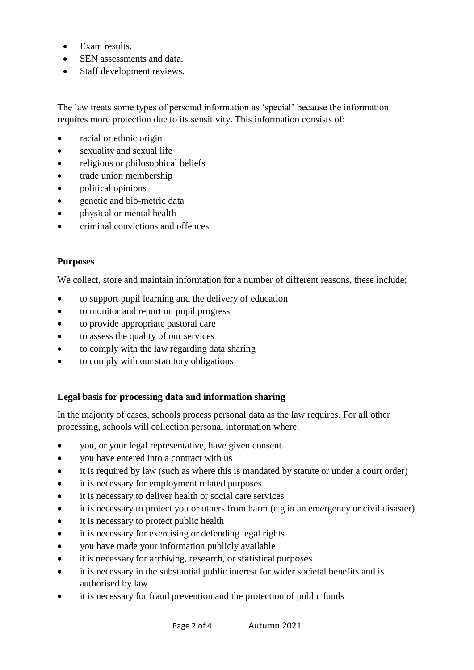- Exam results
- SEN assessments and data
- Staff development reviews.

The law treats some types of personal information as 'special' because the information requires more protection due to its sensitivity. This information consists of:

- racial or ethnic origin
- sexuality and sexual life
- religious or philosophical beliefs
- trade union membership
- political opinions
- genetic and bio-metric data
- physical or mental health
- criminal convictions and offences

## **Purposes**

We collect, store and maintain information for a number of different reasons, these include;

- to support pupil learning and the delivery of education
- to monitor and report on pupil progress
- to provide appropriate pastoral care
- to assess the quality of our services
- to comply with the law regarding data sharing
- to comply with our statutory obligations

### **Legal basis for processing data and information sharing**

In the majority of cases, schools process personal data as the law requires. For all other processing, schools will collection personal information where:

- you, or your legal representative, have given consent
- vou have entered into a contract with us
- it is required by law (such as where this is mandated by statute or under a court order)
- it is necessary for employment related purposes
- it is necessary to deliver health or social care services
- it is necessary to protect you or others from harm (e.g.in an emergency or civil disaster)
- it is necessary to protect public health
- it is necessary for exercising or defending legal rights
- you have made your information publicly available
- it is necessary for archiving, research, or statistical purposes
- it is necessary in the substantial public interest for wider societal benefits and is authorised by law
- it is necessary for fraud prevention and the protection of public funds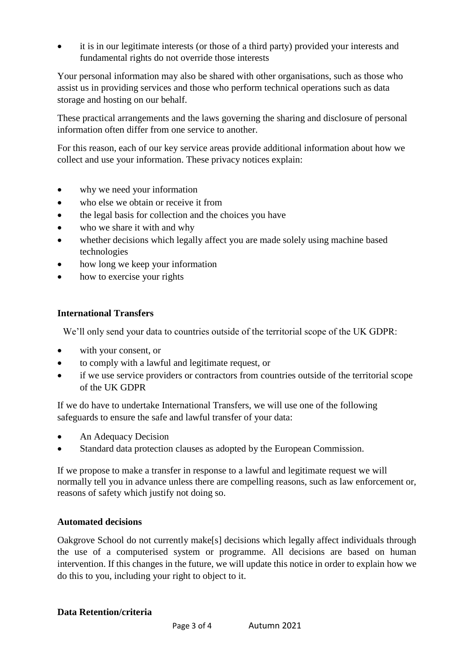• it is in our legitimate interests (or those of a third party) provided your interests and fundamental rights do not override those interests

Your personal information may also be shared with other organisations, such as those who assist us in providing services and those who perform technical operations such as data storage and hosting on our behalf.

These practical arrangements and the laws governing the sharing and disclosure of personal information often differ from one service to another.

For this reason, each of our key service areas provide additional information about how we collect and use your information. These privacy notices explain:

- why we need your information
- who else we obtain or receive it from
- the legal basis for collection and the choices you have
- who we share it with and why
- whether decisions which legally affect you are made solely using machine based technologies
- how long we keep your information
- how to exercise your rights

## **International Transfers**

We'll only send your data to countries outside of the territorial scope of the UK GDPR:

- with your consent, or
- to comply with a lawful and legitimate request, or
- if we use service providers or contractors from countries outside of the territorial scope of the UK GDPR

If we do have to undertake International Transfers, we will use one of the following safeguards to ensure the safe and lawful transfer of your data:

- An Adequacy Decision
- Standard data protection clauses as adopted by the European Commission.

If we propose to make a transfer in response to a lawful and legitimate request we will normally tell you in advance unless there are compelling reasons, such as law enforcement or, reasons of safety which justify not doing so.

### **Automated decisions**

Oakgrove School do not currently make[s] decisions which legally affect individuals through the use of a computerised system or programme. All decisions are based on human intervention. If this changes in the future, we will update this notice in order to explain how we do this to you, including your right to object to it.